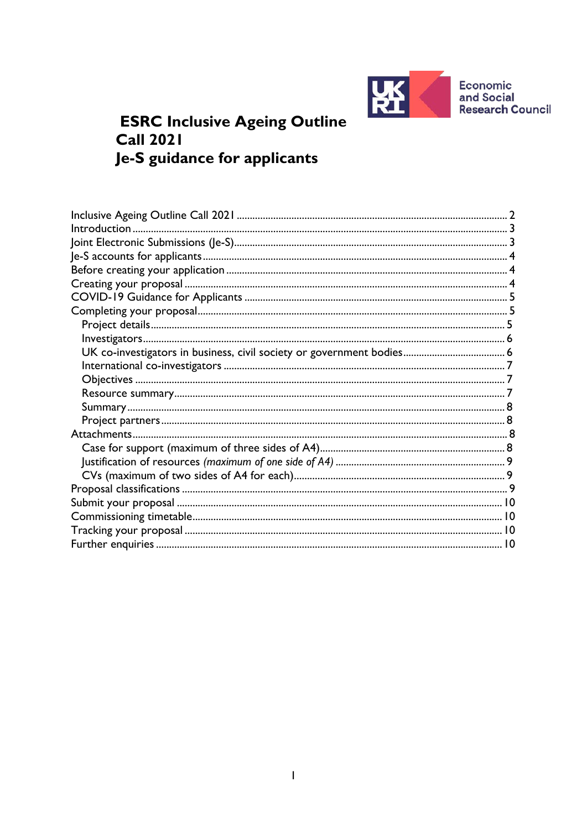

**Economic<br>and Social Research Council** 

# **ESRC Inclusive Ageing Outline Call 2021** Je-S guidance for applicants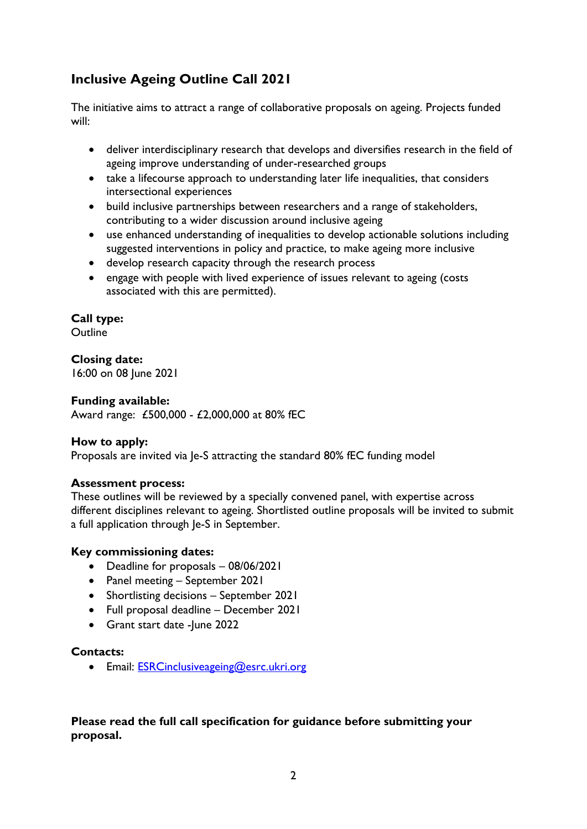# <span id="page-1-0"></span>**Inclusive Ageing Outline Call 2021**

The initiative aims to attract a range of collaborative proposals on ageing. Projects funded will:

- deliver interdisciplinary research that develops and diversifies research in the field of ageing improve understanding of under-researched groups
- take a lifecourse approach to understanding later life inequalities, that considers intersectional experiences
- build inclusive partnerships between researchers and a range of stakeholders, contributing to a wider discussion around inclusive ageing
- use enhanced understanding of inequalities to develop actionable solutions including suggested interventions in policy and practice, to make ageing more inclusive
- develop research capacity through the research process
- engage with people with lived experience of issues relevant to ageing (costs associated with this are permitted).

### **Call type:**

**Outline** 

### **Closing date:**

16:00 on 08 June 2021

#### **Funding available:**

Award range: £500,000 - £2,000,000 at 80% fEC

#### **How to apply:**

Proposals are invited via Je-S attracting the standard 80% fEC funding model

#### **Assessment process:**

These outlines will be reviewed by a specially convened panel, with expertise across different disciplines relevant to ageing. Shortlisted outline proposals will be invited to submit a full application through Je-S in September.

#### **Key commissioning dates:**

- Deadline for proposals 08/06/2021
- Panel meeting September 2021
- Shortlisting decisions September 2021
- Full proposal deadline December 2021
- Grant start date lune 2022

#### **Contacts:**

• Email: [ESRCinclusiveageing@esrc.ukri.org](mailto:ESRCinclusiveageing@esrc.ukri.org)

### **Please read the full call specification for guidance before submitting your proposal.**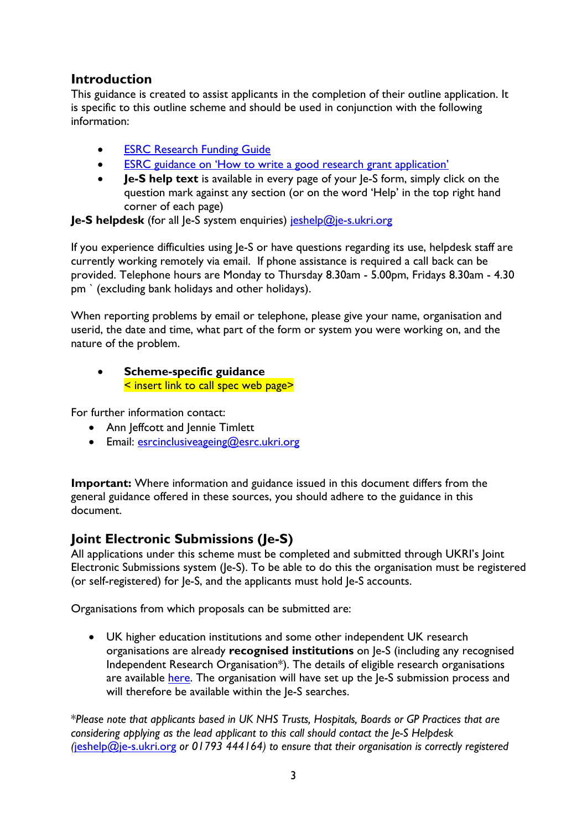## <span id="page-2-0"></span>**Introduction**

This guidance is created to assist applicants in the completion of their outline application. It is specific to this outline scheme and should be used in conjunction with the following information:

- [ESRC Research Funding Guide](https://esrc.ukri.org/funding/guidance-for-applicants/research-funding-guide/)
- [ESRC guidance on 'How to write a good research grant application'](https://esrc.ukri.org/funding/guidance-for-applicants/how-to-write-a-good-research-grant-proposal/)
- **Je-S help text** is available in every page of your le-S form, simply click on the question mark against any section (or on the word 'Help' in the top right hand corner of each page)

**Je-S helpdesk** (for all Je-S system enquiries) [jeshelp@je-s.ukri.org](mailto:jeshelp@je-s.ukri.org)

If you experience difficulties using Je-S or have questions regarding its use, helpdesk staff are currently working remotely via email. If phone assistance is required a call back can be provided. Telephone hours are Monday to Thursday 8.30am - 5.00pm, Fridays 8.30am - 4.30 pm ` (excluding bank holidays and other holidays).

When reporting problems by email or telephone, please give your name, organisation and userid, the date and time, what part of the form or system you were working on, and the nature of the problem.

### • **Scheme-specific guidance** < insert link to call spec web page>

For further information contact:

- Ann Jeffcott and Jennie Timlett
- Email: [esrcinclusiveageing@esrc.ukri.org](mailto:esrcinclusiveageing@esrc.ukri.org)

**Important:** Where information and guidance issued in this document differs from the general guidance offered in these sources, you should adhere to the guidance in this document.

# <span id="page-2-1"></span>**Joint Electronic Submissions (Je-S)**

All applications under this scheme must be completed and submitted through UKRI's Joint Electronic Submissions system (Je-S). To be able to do this the organisation must be registered (or self-registered) for Je-S, and the applicants must hold Je-S accounts.

Organisations from which proposals can be submitted are:

• UK higher education institutions and some other independent UK research organisations are already **recognised institutions** on Je-S (including any recognised Independent Research Organisation\*). The details of eligible research organisations are available [here.](https://www.ukri.org/apply-for-funding/before-you-apply/check-if-you-are-eligible-for-research-and-innovation-funding/) The organisation will have set up the Je-S submission process and will therefore be available within the Je-S searches.

\**Please note that applicants based in UK NHS Trusts, Hospitals, Boards or GP Practices that are considering applying as the lead applicant to this call should contact the Je-S Helpdesk (*[jeshelp@je-s.ukri.org](mailto:jeshelp@je-s.ukri.org) *or 01793 444164) to ensure that their organisation is correctly registered*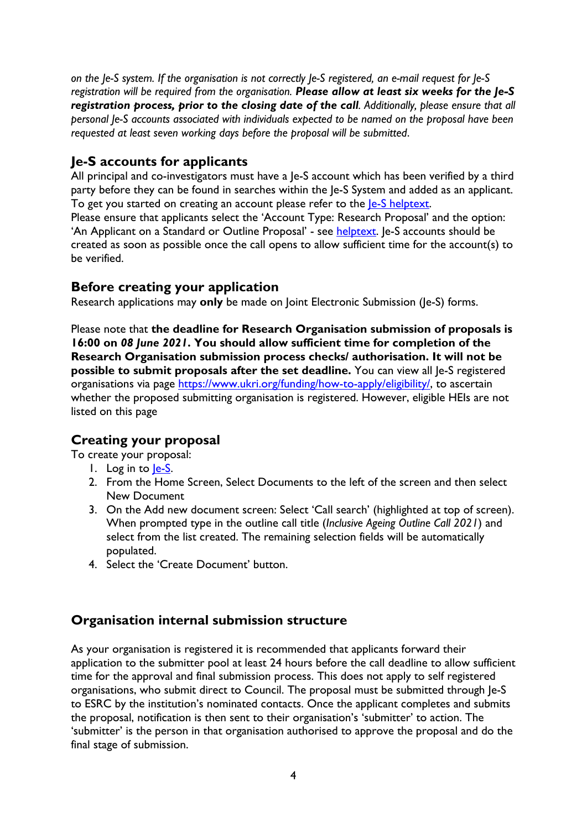*on the Je-S system. If the organisation is not correctly Je-S registered, an e-mail request for Je-S registration will be required from the organisation. Please allow at least six weeks for the Je-S registration process, prior to the closing date of the call. Additionally, please ensure that all personal Je-S accounts associated with individuals expected to be named on the proposal have been requested at least seven working days before the proposal will be submitted*.

# <span id="page-3-0"></span>**Je-S accounts for applicants**

All principal and co-investigators must have a Je-S account which has been verified by a third party before they can be found in searches within the Je-S System and added as an applicant. To get you started on creating an account please refer to the **Je-S** helptext.

Please ensure that applicants select the 'Account Type: Research Proposal' and the option: 'An Applicant on a Standard or Outline Proposal' - see [helptext.](https://je-s.rcuk.ac.uk/Handbook/pages/SettingupaJeSaccount/SettingupaJeSaccount.htm) Je-S accounts should be created as soon as possible once the call opens to allow sufficient time for the account(s) to be verified.

## <span id="page-3-1"></span>**Before creating your application**

Research applications may **only** be made on Joint Electronic Submission (Je-S) forms.

Please note that **the deadline for Research Organisation submission of proposals is 16:00 on** *08 June 2021***. You should allow sufficient time for completion of the Research Organisation submission process checks/ authorisation. It will not be possible to submit proposals after the set deadline.** You can view all Je-S registered organisations via page [https://www.ukri.org/funding/how-to-apply/eligibility/,](https://www.ukri.org/funding/how-to-apply/eligibility/) to ascertain whether the proposed submitting organisation is registered. However, eligible HEIs are not listed on this page

# <span id="page-3-2"></span>**Creating your proposal**

To create your proposal:

- 1. Log in to le-S.
- 2. From the Home Screen, Select Documents to the left of the screen and then select New Document
- 3. On the Add new document screen: Select 'Call search' (highlighted at top of screen). When prompted type in the outline call title (*Inclusive Ageing Outline Call 2021*) and select from the list created. The remaining selection fields will be automatically populated.
- 4. Select the 'Create Document' button.

# **Organisation internal submission structure**

As your organisation is registered it is recommended that applicants forward their application to the submitter pool at least 24 hours before the call deadline to allow sufficient time for the approval and final submission process. This does not apply to self registered organisations, who submit direct to Council. The proposal must be submitted through Je-S to ESRC by the institution's nominated contacts. Once the applicant completes and submits the proposal, notification is then sent to their organisation's 'submitter' to action. The 'submitter' is the person in that organisation authorised to approve the proposal and do the final stage of submission.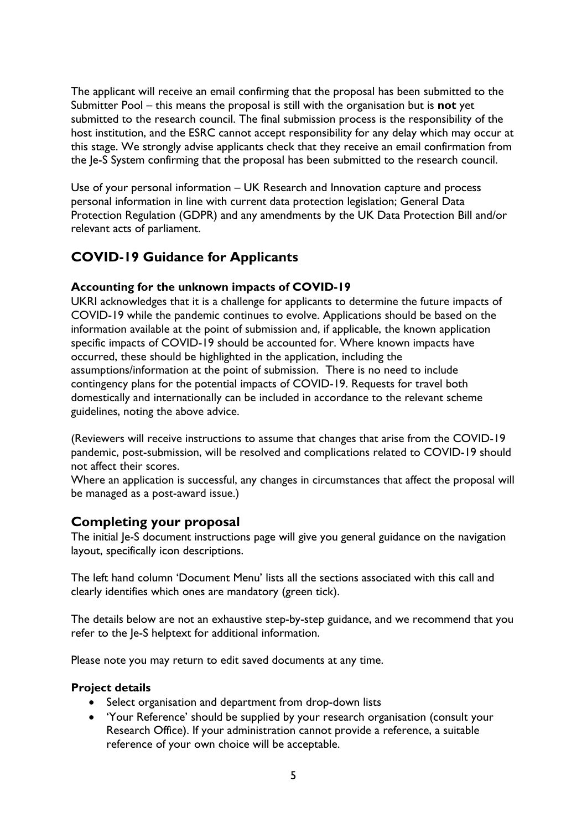The applicant will receive an email confirming that the proposal has been submitted to the Submitter Pool – this means the proposal is still with the organisation but is **not** yet submitted to the research council. The final submission process is the responsibility of the host institution, and the ESRC cannot accept responsibility for any delay which may occur at this stage. We strongly advise applicants check that they receive an email confirmation from the Je-S System confirming that the proposal has been submitted to the research council.

Use of your personal information – UK Research and Innovation capture and process personal information in line with current data protection legislation; General Data Protection Regulation (GDPR) and any amendments by the UK Data Protection Bill and/or relevant acts of parliament.

# <span id="page-4-0"></span>**COVID-19 Guidance for Applicants**

### **Accounting for the unknown impacts of COVID-19**

UKRI acknowledges that it is a challenge for applicants to determine the future impacts of COVID-19 while the pandemic continues to evolve. Applications should be based on the information available at the point of submission and, if applicable, the known application specific impacts of COVID-19 should be accounted for. Where known impacts have occurred, these should be highlighted in the application, including the assumptions/information at the point of submission. There is no need to include contingency plans for the potential impacts of COVID-19. Requests for travel both domestically and internationally can be included in accordance to the relevant scheme guidelines, noting the above advice.

(Reviewers will receive instructions to assume that changes that arise from the COVID-19 pandemic, post-submission, will be resolved and complications related to COVID-19 should not affect their scores.

Where an application is successful, any changes in circumstances that affect the proposal will be managed as a post-award issue.)

### <span id="page-4-1"></span>**Completing your proposal**

The initial Je-S document instructions page will give you general guidance on the navigation layout, specifically icon descriptions.

The left hand column 'Document Menu' lists all the sections associated with this call and clearly identifies which ones are mandatory (green tick).

The details below are not an exhaustive step-by-step guidance, and we recommend that you refer to the Je-S helptext for additional information.

Please note you may return to edit saved documents at any time.

#### <span id="page-4-2"></span>**Project details**

- Select organisation and department from drop-down lists
- 'Your Reference' should be supplied by your research organisation (consult your Research Office). If your administration cannot provide a reference, a suitable reference of your own choice will be acceptable.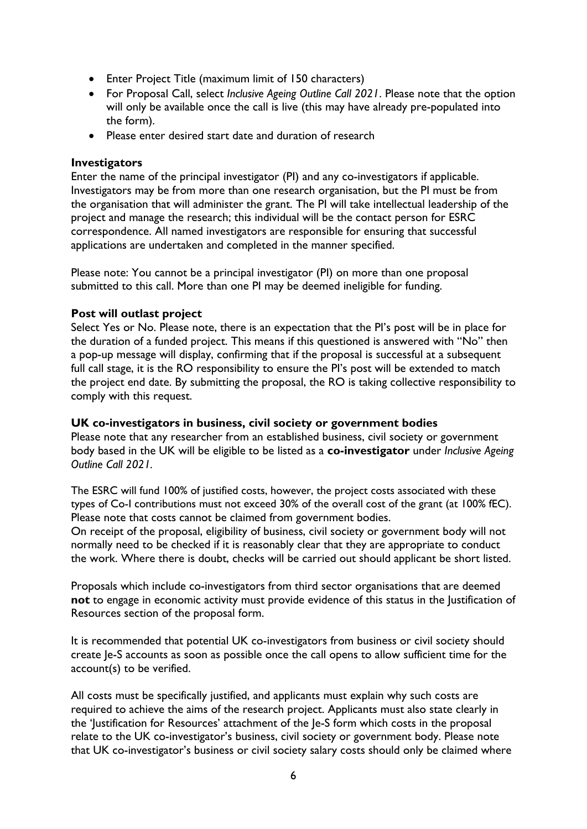- Enter Project Title (maximum limit of 150 characters)
- For Proposal Call, select *Inclusive Ageing Outline Call 2021*. Please note that the option will only be available once the call is live (this may have already pre-populated into the form).
- Please enter desired start date and duration of research

#### <span id="page-5-0"></span>**Investigators**

Enter the name of the principal investigator (PI) and any co-investigators if applicable. Investigators may be from more than one research organisation, but the PI must be from the organisation that will administer the grant. The PI will take intellectual leadership of the project and manage the research; this individual will be the contact person for ESRC correspondence. All named investigators are responsible for ensuring that successful applications are undertaken and completed in the manner specified.

Please note: You cannot be a principal investigator (PI) on more than one proposal submitted to this call. More than one PI may be deemed ineligible for funding.

#### **Post will outlast project**

Select Yes or No. Please note, there is an expectation that the PI's post will be in place for the duration of a funded project. This means if this questioned is answered with "No" then a pop-up message will display, confirming that if the proposal is successful at a subsequent full call stage, it is the RO responsibility to ensure the PI's post will be extended to match the project end date. By submitting the proposal, the RO is taking collective responsibility to comply with this request.

#### <span id="page-5-1"></span>**UK co-investigators in business, civil society or government bodies**

Please note that any researcher from an established business, civil society or government body based in the UK will be eligible to be listed as a **co-investigator** under *Inclusive Ageing Outline Call 2021.*

The ESRC will fund 100% of justified costs, however, the project costs associated with these types of Co-I contributions must not exceed 30% of the overall cost of the grant (at 100% fEC). Please note that costs cannot be claimed from government bodies.

On receipt of the proposal, eligibility of business, civil society or government body will not normally need to be checked if it is reasonably clear that they are appropriate to conduct the work. Where there is doubt, checks will be carried out should applicant be short listed.

Proposals which include co-investigators from third sector organisations that are deemed **not** to engage in economic activity must provide evidence of this status in the Justification of Resources section of the proposal form.

It is recommended that potential UK co-investigators from business or civil society should create Je-S accounts as soon as possible once the call opens to allow sufficient time for the account(s) to be verified.

All costs must be specifically justified, and applicants must explain why such costs are required to achieve the aims of the research project. Applicants must also state clearly in the 'Justification for Resources' attachment of the Je-S form which costs in the proposal relate to the UK co-investigator's business, civil society or government body. Please note that UK co-investigator's business or civil society salary costs should only be claimed where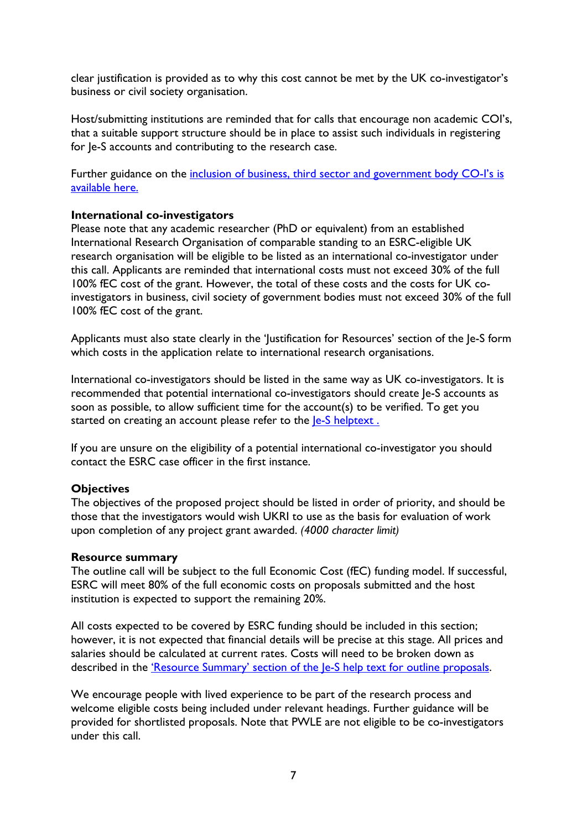clear justification is provided as to why this cost cannot be met by the UK co-investigator's business or civil society organisation.

Host/submitting institutions are reminded that for calls that encourage non academic COI's, that a suitable support structure should be in place to assist such individuals in registering for Je-S accounts and contributing to the research case.

Further guidance on the inclusion of business, third sector and government body CO-I's is [available here.](https://esrc.ukri.org/files/funding/guidance-for-applicants/inclusion-of-uk-business-third-sector-or-government-body-co-investigators-on-esrc-proposals/)

#### <span id="page-6-0"></span>**International co-investigators**

Please note that any academic researcher (PhD or equivalent) from an established International Research Organisation of comparable standing to an ESRC-eligible UK research organisation will be eligible to be listed as an international co-investigator under this call. Applicants are reminded that international costs must not exceed 30% of the full 100% fEC cost of the grant. However, the total of these costs and the costs for UK coinvestigators in business, civil society of government bodies must not exceed 30% of the full 100% fEC cost of the grant.

Applicants must also state clearly in the 'Justification for Resources' section of the Je-S form which costs in the application relate to international research organisations.

International co-investigators should be listed in the same way as UK co-investigators. It is recommended that potential international co-investigators should create Je-S accounts as soon as possible, to allow sufficient time for the account(s) to be verified. To get you started on creating an account please refer to the  $e-S$  helptext.

If you are unsure on the eligibility of a potential international co-investigator you should contact the ESRC case officer in the first instance.

#### <span id="page-6-1"></span>**Objectives**

The objectives of the proposed project should be listed in order of priority, and should be those that the investigators would wish UKRI to use as the basis for evaluation of work upon completion of any project grant awarded. *(4000 character limit)*

#### <span id="page-6-2"></span>**Resource summary**

The outline call will be subject to the full Economic Cost (fEC) funding model. If successful, ESRC will meet 80% of the full economic costs on proposals submitted and the host institution is expected to support the remaining 20%.

All costs expected to be covered by ESRC funding should be included in this section; however, it is not expected that financial details will be precise at this stage. All prices and salaries should be calculated at current rates. Costs will need to be broken down as described in the ['Resource Summary' section of the Je-S help text for outline proposals.](https://je-s.rcuk.ac.uk/Handbook/pages/OutlineProposals/ResourceSummary.htm)

We encourage people with lived experience to be part of the research process and welcome eligible costs being included under relevant headings. Further guidance will be provided for shortlisted proposals. Note that PWLE are not eligible to be co-investigators under this call.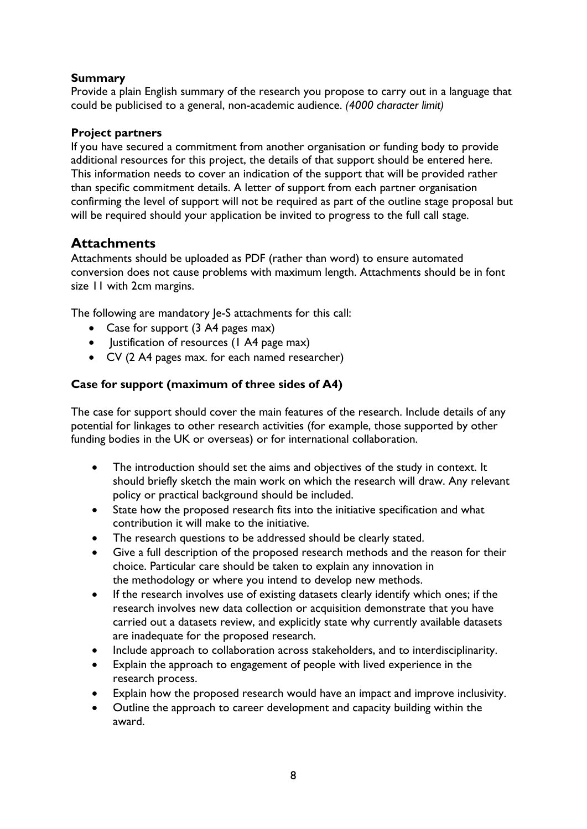### <span id="page-7-0"></span>**Summary**

Provide a plain English summary of the research you propose to carry out in a language that could be publicised to a general, non-academic audience. *(4000 character limit)*

#### <span id="page-7-1"></span>**Project partners**

If you have secured a commitment from another organisation or funding body to provide additional resources for this project, the details of that support should be entered here. This information needs to cover an indication of the support that will be provided rather than specific commitment details. A letter of support from each partner organisation confirming the level of support will not be required as part of the outline stage proposal but will be required should your application be invited to progress to the full call stage.

### <span id="page-7-2"></span>**Attachments**

Attachments should be uploaded as PDF (rather than word) to ensure automated conversion does not cause problems with maximum length. Attachments should be in font size 11 with 2cm margins.

The following are mandatory Je-S attachments for this call:

- Case for support (3 A4 pages max)
- Justification of resources (1 A4 page max)
- CV (2 A4 pages max. for each named researcher)

### <span id="page-7-3"></span>**Case for support (maximum of three sides of A4)**

The case for support should cover the main features of the research. Include details of any potential for linkages to other research activities (for example, those supported by other funding bodies in the UK or overseas) or for international collaboration.

- The introduction should set the aims and objectives of the study in context. It should briefly sketch the main work on which the research will draw. Any relevant policy or practical background should be included.
- State how the proposed research fits into the initiative specification and what contribution it will make to the initiative.
- The research questions to be addressed should be clearly stated.
- Give a full description of the proposed research methods and the reason for their choice. Particular care should be taken to explain any innovation in the methodology or where you intend to develop new methods.
- If the research involves use of existing datasets clearly identify which ones; if the research involves new data collection or acquisition demonstrate that you have carried out a datasets review, and explicitly state why currently available datasets are inadequate for the proposed research.
- Include approach to collaboration across stakeholders, and to interdisciplinarity.
- Explain the approach to engagement of people with lived experience in the research process.
- Explain how the proposed research would have an impact and improve inclusivity.
- Outline the approach to career development and capacity building within the award.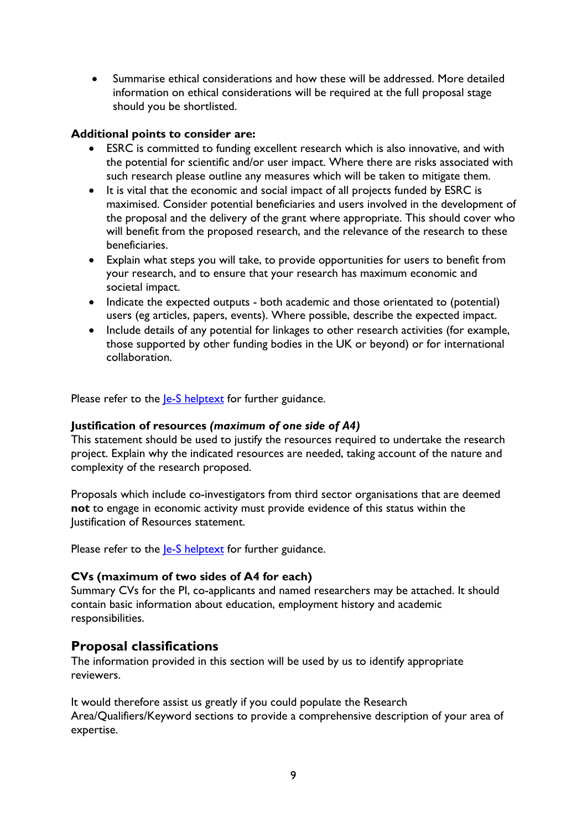• Summarise ethical considerations and how these will be addressed. More detailed information on ethical considerations will be required at the full proposal stage should you be shortlisted.

#### **Additional points to consider are:**

- ESRC is committed to funding excellent research which is also innovative, and with the potential for scientific and/or user impact. Where there are risks associated with such research please outline any measures which will be taken to mitigate them.
- It is vital that the economic and social impact of all projects funded by ESRC is maximised. Consider potential beneficiaries and users involved in the development of the proposal and the delivery of the grant where appropriate. This should cover who will benefit from the proposed research, and the relevance of the research to these beneficiaries.
- Explain what steps you will take, to provide opportunities for users to benefit from your research, and to ensure that your research has maximum economic and societal impact.
- Indicate the expected outputs both academic and those orientated to (potential) users (eg articles, papers, events). Where possible, describe the expected impact.
- Include details of any potential for linkages to other research activities (for example, those supported by other funding bodies in the UK or beyond) or for international collaboration.

Please refer to the **Je-S** helptext for further guidance.

#### <span id="page-8-0"></span>**Justification of resources** *(maximum of one side of A4)*

This statement should be used to justify the resources required to undertake the research project. Explain why the indicated resources are needed, taking account of the nature and complexity of the research proposed.

Proposals which include co-investigators from third sector organisations that are deemed **not** to engage in economic activity must provide evidence of this status within the Justification of Resources statement.

Please refer to the *le-S* helptext for further guidance.

#### <span id="page-8-1"></span>**CVs (maximum of two sides of A4 for each)**

Summary CVs for the PI, co-applicants and named researchers may be attached. It should contain basic information about education, employment history and academic responsibilities.

### <span id="page-8-2"></span>**Proposal classifications**

The information provided in this section will be used by us to identify appropriate reviewers.

It would therefore assist us greatly if you could populate the Research Area/Qualifiers/Keyword sections to provide a comprehensive description of your area of expertise.